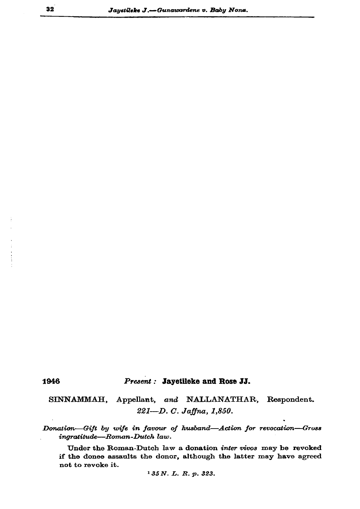## 1946

## Present: Jayetileke and Rose JJ.

SINNAMMAH, Appellant, and NALLANATHAR, Respondent. 221-D. C. Jaffna, 1,850.

Donation-Gift by wife in favour of husband-Action for revocation-Gross ingratitude-Roman-Dutch law.

Under the Roman-Dutch law a donation inter vivos may be revoked if the donee assaults the donor, although the latter may have agreed not to revoke it.

<sup>1</sup> 35 N. L. R. p. 323.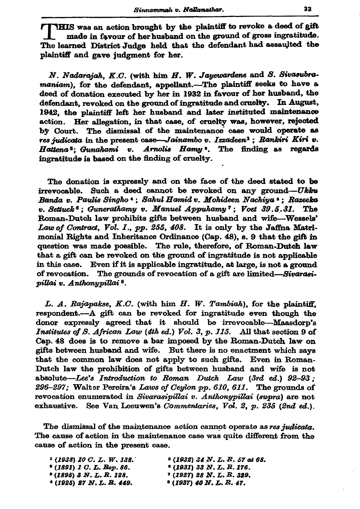THIS was an action brought by the plaintiff to revoke a deed of gift made in favour of her husband on the ground of gross ingratitude. The learned District Judge held that the defendant had assaulted the plaintiff and gave judgment for her.

N. Nadarajah, K.C. (with him H. W. Jayewardene and S. Sivasubramaniam), for the defendant, appellant.-The plaintiff seeks to have a deed of donation executed by her in 1932 in favour of her husband, the defendant, revoked on the ground of ingratitude and cruelty. In August, 1942, the plaintiff left her husband and later instituted maintenance action. Her allegation, in that case, of cruelty was, however, rejected by Court. The dismissal of the maintenance case would operate as res judicata in the present case-Jainambo v. Izzadeen<sup>1</sup>; Rankiri Kiri v. Arnolis Hamy<sup>3</sup>. The finding as regards Hattena<sup>2</sup>: Gunahami v. ingratitude is based on the finding of cruelty.

The donation is expressly and on the face of the deed stated to be Such a deed cannot be revoked on any ground-Ukku irrevocable. Banda v. Paulis Singho '; Sahul Hamid v. Mohideen Nachiya '; Razeeka v. Settuck<sup>6</sup>; Gunerathamy v. Manuel Appuhamy<sup>7</sup>; Voet  $39.5.31$ . The Roman-Dutch law prohibits gifts between husband and wife-Wessels' Law of Contract, Vol. 1., pp. 255, 408. It is only by the Jaffna Matrimonial Rights and Inheritance Ordinance (Cap. 48), s. 9 that the gift in question was made possible. The rule, therefore, of Roman-Dutch law that a gift can be revoked on the ground of ingratitude is not applicable in this case. Even if it is applicable ingratitude, at large, is not a ground of revocation. The grounds of revocation of a gift are limited—Sivarasipillai v. Anthonypillai<sup>8</sup>.

L. A. Rajapakse, K.C. (with him H. W. Tambiah), for the plaintiff, respondent.- A gift can be revoked for ingratitude even though the donor expressly agreed that it should be irrevocable-Maasdorp's Institutes of S. African Law (4th ed.) Vol. 3, p. 115. All that section 9 of Cap. 48 does is to remove a bar imposed by the Roman-Dutch law on gifts between husband and wife. But there is no enactment which says that the common law does not apply to such gifts. Even in Roman-Dutch law the prohibition of gifts between husband and wife is not absolute—Lee's Introduction to Roman Dutch Law  $(3rd \text{ ed.})$  92-93; 296-297; Walter Pereira's Laws of Ceylon pp. 610, 611. The grounds of revocation enumerated in Sivarasipillai v. Anthonypillai (supra) are not exhaustive. See Van Leeuwen's Commentaries, Vol. 2, p. 235 (2nd ed.).

The dismissal of the maintenance action cannot operate as res judicata. The cause of action in the maintenance case was quite different from the cause of action in the present case.

| $1$ (1938) 10 C. L. W. 138.          | 3 (1932) 34 N. L. R. 57 at 68.          |
|--------------------------------------|-----------------------------------------|
| <sup>2</sup> (1891) 1 C. L. Rep. 86. | $(1931)$ 33 N.L.R.176.                  |
| * (1895) 3 N. L. R. 128.             | <i><b>* (1927) 28 N. L. R. 329.</b></i> |
| <sup>4</sup> (1925) 27 N.L. R. 449.  | $(1937)$ 40 N.L.R.47.                   |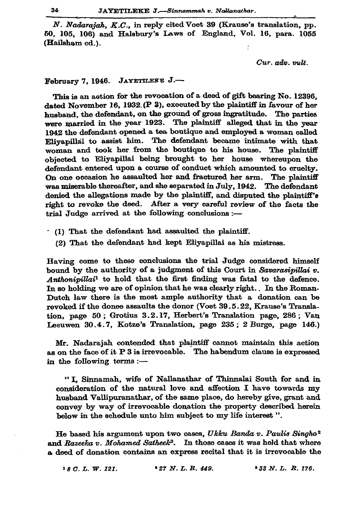N. Nadarajah. K.C., in reply cited Voet 39 (Krause's translation, pp. 50, 105, 106) and Halsbury's Laws of England, Vol. 16, para. 1055 (Hailsham ed.).

Cur. adv. vult.

## February 7, 1946. JAYETILEEE J.-

This is an action for the revocation of a deed of gift bearing No. 12396. dated November 16, 1932 (P 3), executed by the plaintiff in favour of her husband, the defendant, on the ground of gross ingratitude. The parties were married in the year 1923. The plaintiff alleged that in the year 1942 the defendant opened a tea boutique and employed a woman called Eliyapillai to assist him. The defendant became intimate with that woman and took her from the boutique to his house. The plaintiff objected to Eliyapillai being brought to her house whereupon the defendant entered upon a course of conduct which amounted to cruelty. On one occasion he assaulted her and fractured her arm. The plaintiff was miserable thereafter, and she separated in July, 1942. The defendant denied the allegations made by the plaintiff, and disputed the plaintiff's right to revoke the deed. After a very careful review of the facts the trial Judge arrived at the following conclusions :-

- . (1) That the defendant had assaulted the plaintiff.
	- (2) That the defendant had kept Eliyapillai as his mistress.

Having come to these conclusions the trial Judge considered himself bound by the authority of a judgment of this Court in Savarasipillai v. Anthonipillai<sup>1</sup> to hold that the first finding was fatal to the defence. In so holding we are of opinion that he was clearly right. In the Roman-Dutch law there is the most ample authority that a donation can be revoked if the donee assaults the donor (Voet 39.5.22, Krause's Translation, page 50; Grotius 3.2.17, Herbert's Translation page, 286; Van Leeuwen 30.4.7, Kotze's Translation, page 235; 2 Burge, page 146.)

Mr. Nadarajah contended that plaintiff cannot maintain this action as on the face of it P 3 is irrevocable. The habendum clause is expressed in the following terms :-

"I, Sinnamah, wife of Nallanathar of Thinnalai South for and in consideration of the natural love and affection I have towards my husband Vallipuranathar, of the same place, do hereby give, grant and convey by way of irrevocable donation the property described herein below in the schedule unto him subject to my life interest".

He based his argument upon two cases, Ukku Banda v. Paulis Singho<sup>2</sup> and Razeeka v. Mohamed Satheek<sup>3</sup>. In those cases it was held that where a deed of donation contains an express recital that it is irrevocable the

 $*27 N. L. R. 449.$ <sup>3</sup> 33 N.L. R. 176.  $18C. L. W. 121.$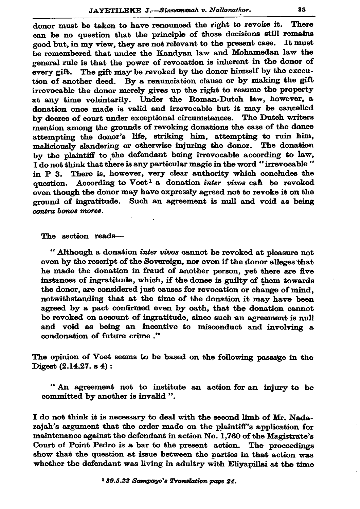donor must be taken to have renounced the right to revoke it. There can be no question that the principle of those decisions still remains good but, in my view, they are not relevant to the present case. It must be remembered that under the Kandyan law and Mohamedan law the general rule is that the power of revocation is inherent in the donor of every gift. The gift may be revoked by the donor himself by the execution of another deed. By a renunciation clause or by making the gift irrevocable the donor merely gives up the right to resume the property at any time voluntarily. Under the Roman-Dutch law, however, a donation once made is valid and irrevocable but it may be cancelled by decree of court under exceptional circumstances. The Dutch writers mention among the grounds of revoking donations the case of the donee attempting the donor's life, striking him, attempting to ruin him, maliciously slandering or otherwise injuring the donor. The donation by the plaintiff to the defendant being irrevocable according to law, I do not think that there is any particular magic in the word "irrevocable" in P 3. There is, however, very clear authority which concludes the question. According to Voet<sup>1</sup> a donation *inter vivos* can be revoked even though the donor may have expressly agreed not to revoke it on the ground of ingratitude. Such an agreement is null and void as being contra bonos mores.

The section reads-

" Although a donation *inter vivos* cannot be revoked at pleasure not even by the rescript of the Sovereign, nor even if the donor alleges that he made the donation in fraud of another person, yet there are five instances of ingratitude, which, if the donee is guilty of them towards the donor, are considered just causes for revocation or change of mind, notwithstanding that at the time of the donation it may have been agreed by a pact confirmed even by oath, that the donation cannot be revoked on account of ingratitude, since such an agreement is null and void as being an incentive to misconduct and involving a condonation of future crime."

The opinion of Voet seems to be based on the following passage in the Digest (2.14.27. s 4):

"An agreement not to institute an action for an injury to be committed by another is invalid ".

I do not think it is necessary to deal with the second limb of Mr. Nadarajah's argument that the order made on the plaintiff's application for maintenance against the defendant in action No. 1,760 of the Magistrate's Court of Point Pedro is a bar to the present action. The proceedings show that the question at issue between the parties in that action was whether the defendant was living in adultry with Eliyapillai at the time